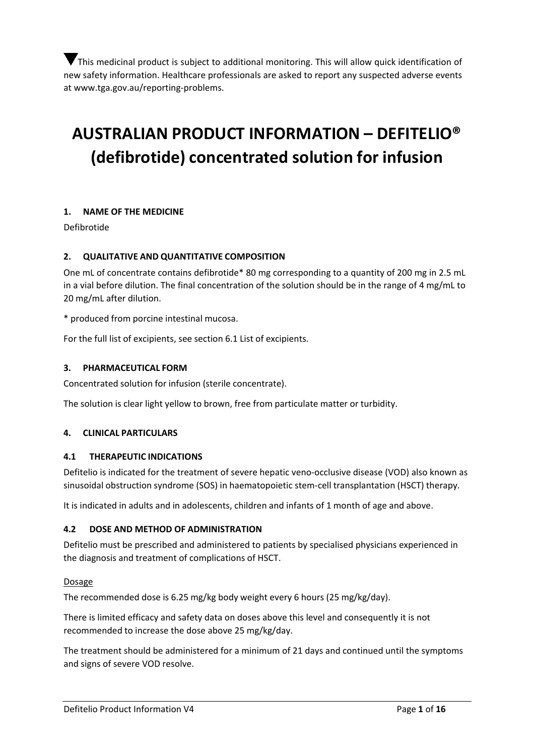This medicinal product is subject to additional monitoring. This will allow quick identification of new safety information. Healthcare professionals are asked to report any suspected adverse events at [www.tga.gov.au/reporting-problems.](https://www.tga.gov.au/reporting-problems)

# **AUSTRALIAN PRODUCT INFORMATION – DEFITELIO® (defibrotide) concentrated solution for infusion**

# **1. NAME OF THE MEDICINE**

Defibrotide

# **2. QUALITATIVE AND QUANTITATIVE COMPOSITION**

One mL of concentrate contains defibrotide\* 80 mg corresponding to a quantity of 200 mg in 2.5 mL in a vial before dilution. The final concentration of the solution should be in the range of 4 mg/mL to 20 mg/mL after dilution.

\* produced from porcine intestinal mucosa.

For the full list of excipients, see section 6.1 List of excipients.

## **3. PHARMACEUTICAL FORM**

Concentrated solution for infusion (sterile concentrate).

The solution is clear light yellow to brown, free from particulate matter or turbidity.

# **4. CLINICAL PARTICULARS**

#### **4.1 THERAPEUTIC INDICATIONS**

Defitelio is indicated for the treatment of severe hepatic veno-occlusive disease (VOD) also known as sinusoidal obstruction syndrome (SOS) in haematopoietic stem-cell transplantation (HSCT) therapy.

It is indicated in adults and in adolescents, children and infants of 1 month of age and above.

#### **4.2 DOSE AND METHOD OF ADMINISTRATION**

Defitelio must be prescribed and administered to patients by specialised physicians experienced in the diagnosis and treatment of complications of HSCT.

#### **Dosage**

The recommended dose is 6.25 mg/kg body weight every 6 hours (25 mg/kg/day).

There is limited efficacy and safety data on doses above this level and consequently it is not recommended to increase the dose above 25 mg/kg/day.

The treatment should be administered for a minimum of 21 days and continued until the symptoms and signs of severe VOD resolve.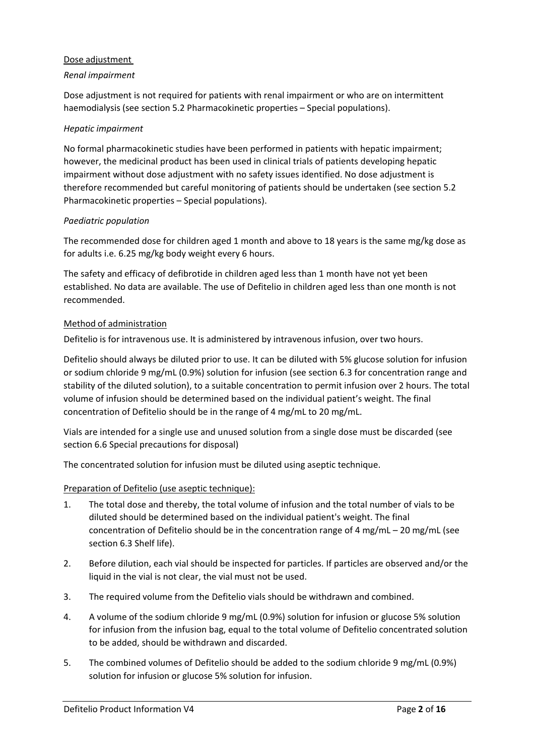# Dose adjustment

# *Renal impairment*

Dose adjustment is not required for patients with renal impairment or who are on intermittent haemodialysis (see section 5.2 Pharmacokinetic properties – Special populations).

## *Hepatic impairment*

No formal pharmacokinetic studies have been performed in patients with hepatic impairment; however, the medicinal product has been used in clinical trials of patients developing hepatic impairment without dose adjustment with no safety issues identified. No dose adjustment is therefore recommended but careful monitoring of patients should be undertaken (see section 5.2 Pharmacokinetic properties – Special populations).

# *Paediatric population*

The recommended dose for children aged 1 month and above to 18 years is the same mg/kg dose as for adults i.e. 6.25 mg/kg body weight every 6 hours.

The safety and efficacy of defibrotide in children aged less than 1 month have not yet been established. No data are available. The use of Defitelio in children aged less than one month is not recommended.

## Method of administration

Defitelio is for intravenous use. It is administered by intravenous infusion, over two hours.

Defitelio should always be diluted prior to use. It can be diluted with 5% glucose solution for infusion or sodium chloride 9 mg/mL (0.9%) solution for infusion (see section 6.3 for concentration range and stability of the diluted solution), to a suitable concentration to permit infusion over 2 hours. The total volume of infusion should be determined based on the individual patient's weight. The final concentration of Defitelio should be in the range of 4 mg/mL to 20 mg/mL.

Vials are intended for a single use and unused solution from a single dose must be discarded (see section 6.6 Special precautions for disposal)

The concentrated solution for infusion must be diluted using aseptic technique.

# Preparation of Defitelio (use aseptic technique):

- 1. The total dose and thereby, the total volume of infusion and the total number of vials to be diluted should be determined based on the individual patient's weight. The final concentration of Defitelio should be in the concentration range of 4 mg/mL – 20 mg/mL (see section 6.3 Shelf life).
- 2. Before dilution, each vial should be inspected for particles. If particles are observed and/or the liquid in the vial is not clear, the vial must not be used.
- 3. The required volume from the Defitelio vials should be withdrawn and combined.
- 4. A volume of the sodium chloride 9 mg/mL (0.9%) solution for infusion or glucose 5% solution for infusion from the infusion bag, equal to the total volume of Defitelio concentrated solution to be added, should be withdrawn and discarded.
- 5. The combined volumes of Defitelio should be added to the sodium chloride 9 mg/mL (0.9%) solution for infusion or glucose 5% solution for infusion.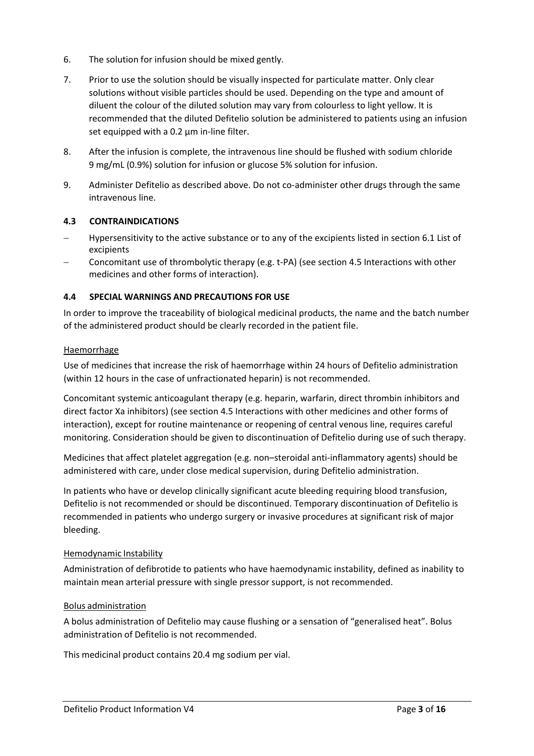- 6. The solution for infusion should be mixed gently.
- 7. Prior to use the solution should be visually inspected for particulate matter. Only clear solutions without visible particles should be used. Depending on the type and amount of diluent the colour of the diluted solution may vary from colourless to light yellow. It is recommended that the diluted Defitelio solution be administered to patients using an infusion set equipped with a 0.2 μm in-line filter.
- 8. After the infusion is complete, the intravenous line should be flushed with sodium chloride 9 mg/mL (0.9%) solution for infusion or glucose 5% solution for infusion.
- 9. Administer Defitelio as described above. Do not co-administer other drugs through the same intravenous line.

# **4.3 CONTRAINDICATIONS**

- Hypersensitivity to the active substance or to any of the excipients listed in section 6.1 List of excipients
- − Concomitant use of thrombolytic therapy (e.g. t-PA) (see section 4.5 Interactions with other medicines and other forms of interaction).

# **4.4 SPECIAL WARNINGS AND PRECAUTIONS FOR USE**

In order to improve the traceability of biological medicinal products, the name and the batch number of the administered product should be clearly recorded in the patient file.

# **Haemorrhage**

Use of medicines that increase the risk of haemorrhage within 24 hours of Defitelio administration (within 12 hours in the case of unfractionated heparin) is not recommended.

Concomitant systemic anticoagulant therapy (e.g. heparin, warfarin, direct thrombin inhibitors and direct factor Xa inhibitors) (see section 4.5 Interactions with other medicines and other forms of interaction), except for routine maintenance or reopening of central venous line, requires careful monitoring. Consideration should be given to discontinuation of Defitelio during use of such therapy.

Medicines that affect platelet aggregation (e.g. non–steroidal anti-inflammatory agents) should be administered with care, under close medical supervision, during Defitelio administration.

In patients who have or develop clinically significant acute bleeding requiring blood transfusion, Defitelio is not recommended or should be discontinued. Temporary discontinuation of Defitelio is recommended in patients who undergo surgery or invasive procedures at significant risk of major bleeding.

# Hemodynamic Instability

Administration of defibrotide to patients who have haemodynamic instability, defined as inability to maintain mean arterial pressure with single pressor support, is not recommended.

# Bolus administration

A bolus administration of Defitelio may cause flushing or a sensation of "generalised heat". Bolus administration of Defitelio is not recommended.

This medicinal product contains 20.4 mg sodium per vial.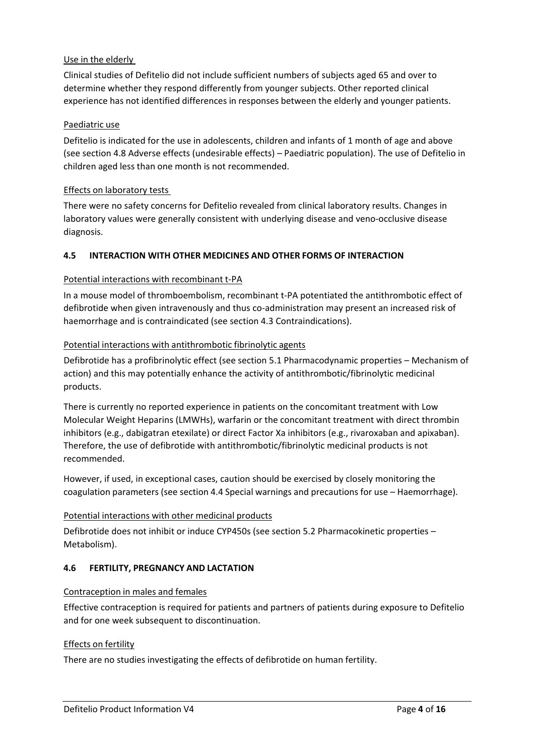# Use in the elderly

Clinical studies of Defitelio did not include sufficient numbers of subjects aged 65 and over to determine whether they respond differently from younger subjects. Other reported clinical experience has not identified differences in responses between the elderly and younger patients.

# Paediatric use

Defitelio is indicated for the use in adolescents, children and infants of 1 month of age and above (see section 4.8 Adverse effects (undesirable effects) – Paediatric population). The use of Defitelio in children aged less than one month is not recommended.

# Effects on laboratory tests

There were no safety concerns for Defitelio revealed from clinical laboratory results. Changes in laboratory values were generally consistent with underlying disease and veno-occlusive disease diagnosis.

# **4.5 INTERACTION WITH OTHER MEDICINES AND OTHER FORMS OF INTERACTION**

## Potential interactions with recombinant t-PA

In a mouse model of thromboembolism, recombinant t-PA potentiated the antithrombotic effect of defibrotide when given intravenously and thus co-administration may present an increased risk of haemorrhage and is contraindicated (see section 4.3 Contraindications).

## Potential interactions with antithrombotic fibrinolytic agents

Defibrotide has a profibrinolytic effect (see section 5.1 Pharmacodynamic properties – Mechanism of action) and this may potentially enhance the activity of antithrombotic/fibrinolytic medicinal products.

There is currently no reported experience in patients on the concomitant treatment with Low Molecular Weight Heparins (LMWHs), warfarin or the concomitant treatment with direct thrombin inhibitors (e.g., dabigatran etexilate) or direct Factor Xa inhibitors (e.g., rivaroxaban and apixaban). Therefore, the use of defibrotide with antithrombotic/fibrinolytic medicinal products is not recommended.

However, if used, in exceptional cases, caution should be exercised by closely monitoring the coagulation parameters (see section 4.4 Special warnings and precautions for use – Haemorrhage).

#### Potential interactions with other medicinal products

Defibrotide does not inhibit or induce CYP450s (see section 5.2 Pharmacokinetic properties – Metabolism).

#### **4.6 FERTILITY, PREGNANCY AND LACTATION**

#### Contraception in males and females

Effective contraception is required for patients and partners of patients during exposure to Defitelio and for one week subsequent to discontinuation.

# Effects on fertility

There are no studies investigating the effects of defibrotide on human fertility.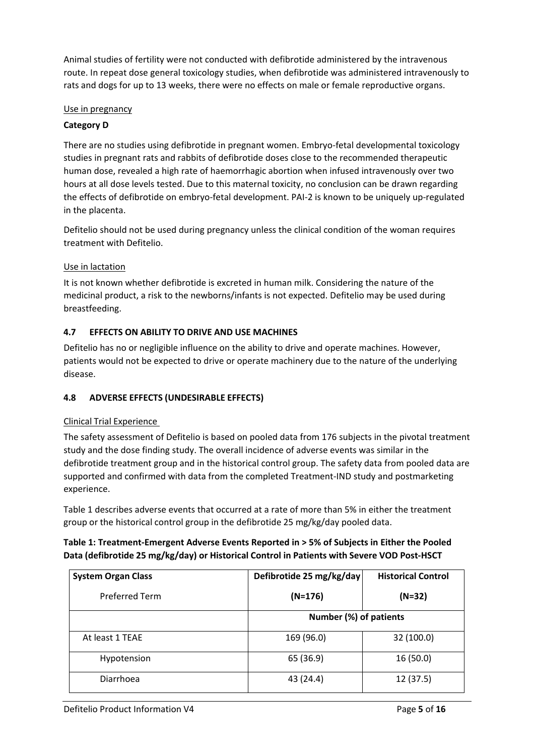Animal studies of fertility were not conducted with defibrotide administered by the intravenous route. In repeat dose general toxicology studies, when defibrotide was administered intravenously to rats and dogs for up to 13 weeks, there were no effects on male or female reproductive organs.

# Use in pregnancy

# **Category D**

There are no studies using defibrotide in pregnant women. Embryo-fetal developmental toxicology studies in pregnant rats and rabbits of defibrotide doses close to the recommended therapeutic human dose, revealed a high rate of haemorrhagic abortion when infused intravenously over two hours at all dose levels tested. Due to this maternal toxicity, no conclusion can be drawn regarding the effects of defibrotide on embryo-fetal development. PAI-2 is known to be uniquely up-regulated in the placenta.

Defitelio should not be used during pregnancy unless the clinical condition of the woman requires treatment with Defitelio.

# Use in lactation

It is not known whether defibrotide is excreted in human milk. Considering the nature of the medicinal product, a risk to the newborns/infants is not expected. Defitelio may be used during breastfeeding.

# **4.7 EFFECTS ON ABILITY TO DRIVE AND USE MACHINES**

Defitelio has no or negligible influence on the ability to drive and operate machines. However, patients would not be expected to drive or operate machinery due to the nature of the underlying disease.

# **4.8 ADVERSE EFFECTS (UNDESIRABLE EFFECTS)**

# Clinical Trial Experience

The safety assessment of Defitelio is based on pooled data from 176 subjects in the pivotal treatment study and the dose finding study. The overall incidence of adverse events was similar in the defibrotide treatment group and in the historical control group. The safety data from pooled data are supported and confirmed with data from the completed Treatment-IND study and postmarketing experience.

Table 1 describes adverse events that occurred at a rate of more than 5% in either the treatment group or the historical control group in the defibrotide 25 mg/kg/day pooled data.

# **Table 1: Treatment-Emergent Adverse Events Reported in > 5% of Subjects in Either the Pooled Data (defibrotide 25 mg/kg/day) or Historical Control in Patients with Severe VOD Post-HSCT**

| <b>System Organ Class</b> | Defibrotide 25 mg/kg/day | <b>Historical Control</b> |
|---------------------------|--------------------------|---------------------------|
| <b>Preferred Term</b>     | $(N=176)$                | $(N=32)$                  |
|                           | Number (%) of patients   |                           |
| At least 1 TEAE           | 169 (96.0)               | 32 (100.0)                |
| Hypotension               | 65 (36.9)                | 16(50.0)                  |
| Diarrhoea                 | 43 (24.4)                | 12 (37.5)                 |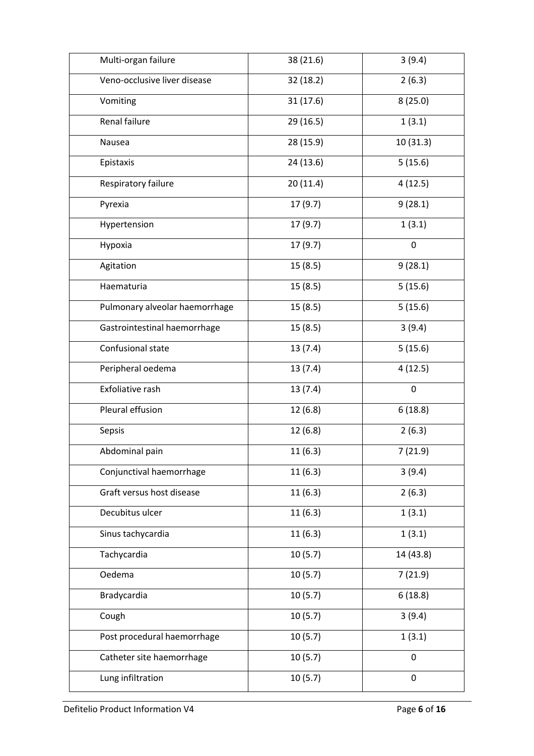| Multi-organ failure            | 38 (21.6) | 3(9.4)      |
|--------------------------------|-----------|-------------|
| Veno-occlusive liver disease   | 32 (18.2) | 2(6.3)      |
| Vomiting                       | 31(17.6)  | 8(25.0)     |
| Renal failure                  | 29 (16.5) | 1(3.1)      |
| Nausea                         | 28 (15.9) | 10(31.3)    |
| Epistaxis                      | 24 (13.6) | 5(15.6)     |
| Respiratory failure            | 20(11.4)  | 4(12.5)     |
| Pyrexia                        | 17(9.7)   | 9(28.1)     |
| Hypertension                   | 17(9.7)   | 1(3.1)      |
| Hypoxia                        | 17(9.7)   | $\mathbf 0$ |
| Agitation                      | 15(8.5)   | 9(28.1)     |
| Haematuria                     | 15(8.5)   | 5(15.6)     |
| Pulmonary alveolar haemorrhage | 15(8.5)   | 5(15.6)     |
| Gastrointestinal haemorrhage   | 15(8.5)   | 3(9.4)      |
| Confusional state              | 13(7.4)   | 5(15.6)     |
| Peripheral oedema              | 13(7.4)   | 4(12.5)     |
| Exfoliative rash               | 13(7.4)   | $\mathbf 0$ |
| Pleural effusion               | 12(6.8)   | 6(18.8)     |
| Sepsis                         | 12(6.8)   | 2(6.3)      |
| Abdominal pain                 | 11(6.3)   | 7(21.9)     |
| Conjunctival haemorrhage       | 11(6.3)   | 3(9.4)      |
| Graft versus host disease      | 11(6.3)   | 2(6.3)      |
| Decubitus ulcer                | 11(6.3)   | 1(3.1)      |
| Sinus tachycardia              | 11(6.3)   | 1(3.1)      |
| Tachycardia                    | 10(5.7)   | 14 (43.8)   |
| Oedema                         | 10(5.7)   | 7(21.9)     |
| Bradycardia                    | 10(5.7)   | 6(18.8)     |
| Cough                          | 10(5.7)   | 3(9.4)      |
| Post procedural haemorrhage    | 10(5.7)   | 1(3.1)      |
| Catheter site haemorrhage      | 10(5.7)   | 0           |
| Lung infiltration              | 10(5.7)   | 0           |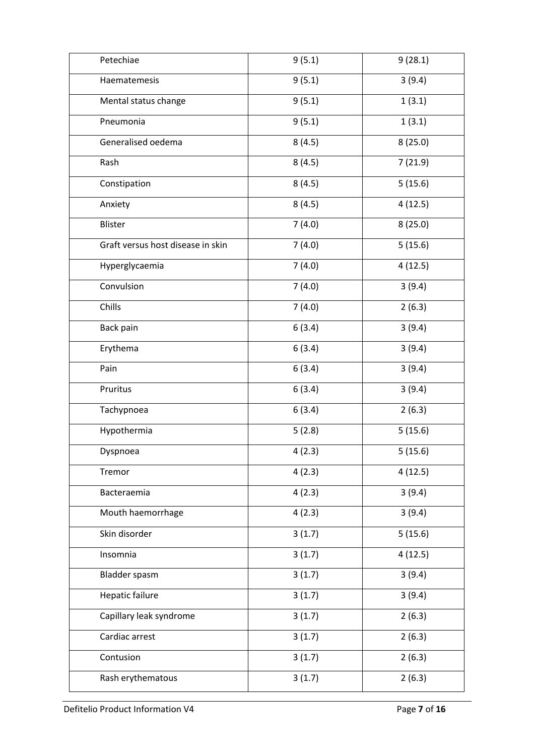| Petechiae                         | 9(5.1) | 9(28.1) |
|-----------------------------------|--------|---------|
| Haematemesis                      | 9(5.1) | 3(9.4)  |
| Mental status change              | 9(5.1) | 1(3.1)  |
| Pneumonia                         | 9(5.1) | 1(3.1)  |
| Generalised oedema                | 8(4.5) | 8(25.0) |
| Rash                              | 8(4.5) | 7(21.9) |
| Constipation                      | 8(4.5) | 5(15.6) |
| Anxiety                           | 8(4.5) | 4(12.5) |
| Blister                           | 7(4.0) | 8(25.0) |
| Graft versus host disease in skin | 7(4.0) | 5(15.6) |
| Hyperglycaemia                    | 7(4.0) | 4(12.5) |
| Convulsion                        | 7(4.0) | 3(9.4)  |
| Chills                            | 7(4.0) | 2(6.3)  |
| Back pain                         | 6(3.4) | 3(9.4)  |
| Erythema                          | 6(3.4) | 3(9.4)  |
| Pain                              | 6(3.4) | 3(9.4)  |
| Pruritus                          | 6(3.4) | 3(9.4)  |
| Tachypnoea                        | 6(3.4) | 2(6.3)  |
| Hypothermia                       | 5(2.8) | 5(15.6) |
| Dyspnoea                          | 4(2.3) | 5(15.6) |
| Tremor                            | 4(2.3) | 4(12.5) |
| Bacteraemia                       | 4(2.3) | 3(9.4)  |
| Mouth haemorrhage                 | 4(2.3) | 3(9.4)  |
| Skin disorder                     | 3(1.7) | 5(15.6) |
| Insomnia                          | 3(1.7) | 4(12.5) |
| Bladder spasm                     | 3(1.7) | 3(9.4)  |
| Hepatic failure                   | 3(1.7) | 3(9.4)  |
| Capillary leak syndrome           | 3(1.7) | 2(6.3)  |
| Cardiac arrest                    | 3(1.7) | 2(6.3)  |
| Contusion                         | 3(1.7) | 2(6.3)  |
| Rash erythematous                 | 3(1.7) | 2(6.3)  |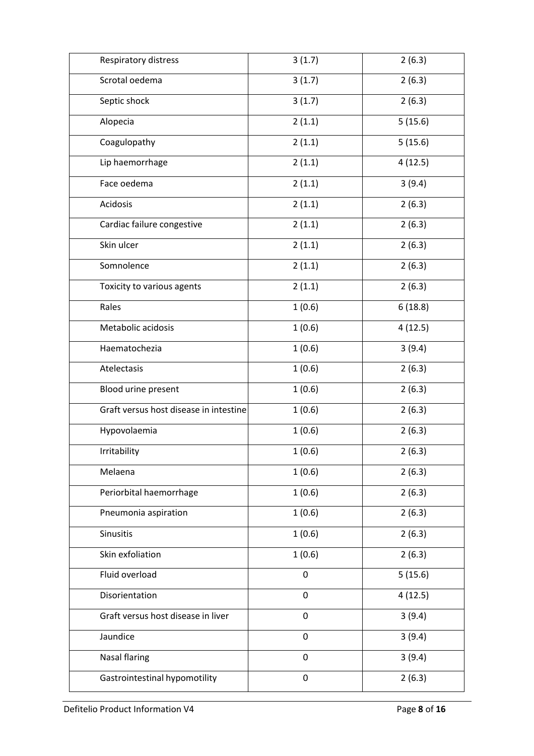| Respiratory distress                   | 3(1.7)      | 2(6.3)  |
|----------------------------------------|-------------|---------|
| Scrotal oedema                         | 3(1.7)      | 2(6.3)  |
| Septic shock                           | 3(1.7)      | 2(6.3)  |
| Alopecia                               | 2(1.1)      | 5(15.6) |
| Coagulopathy                           | 2(1.1)      | 5(15.6) |
| Lip haemorrhage                        | 2(1.1)      | 4(12.5) |
| Face oedema                            | 2(1.1)      | 3(9.4)  |
| Acidosis                               | 2(1.1)      | 2(6.3)  |
| Cardiac failure congestive             | 2(1.1)      | 2(6.3)  |
| Skin ulcer                             | 2(1.1)      | 2(6.3)  |
| Somnolence                             | 2(1.1)      | 2(6.3)  |
| Toxicity to various agents             | 2(1.1)      | 2(6.3)  |
| Rales                                  | 1(0.6)      | 6(18.8) |
| Metabolic acidosis                     | 1(0.6)      | 4(12.5) |
| Haematochezia                          | 1(0.6)      | 3(9.4)  |
| Atelectasis                            | 1(0.6)      | 2(6.3)  |
| Blood urine present                    | 1(0.6)      | 2(6.3)  |
| Graft versus host disease in intestine | 1(0.6)      | 2(6.3)  |
| Hypovolaemia                           | 1(0.6)      | 2(6.3)  |
| Irritability                           | 1(0.6)      | 2(6.3)  |
| Melaena                                | 1(0.6)      | 2(6.3)  |
| Periorbital haemorrhage                | 1(0.6)      | 2(6.3)  |
| Pneumonia aspiration                   | 1(0.6)      | 2(6.3)  |
| Sinusitis                              | 1(0.6)      | 2(6.3)  |
| Skin exfoliation                       | 1(0.6)      | 2(6.3)  |
| Fluid overload                         | $\mathbf 0$ | 5(15.6) |
| Disorientation                         | $\mathbf 0$ | 4(12.5) |
| Graft versus host disease in liver     | $\pmb{0}$   | 3(9.4)  |
| Jaundice                               | $\pmb{0}$   | 3(9.4)  |
| <b>Nasal flaring</b>                   | $\mathbf 0$ | 3(9.4)  |
| Gastrointestinal hypomotility          | $\pmb{0}$   | 2(6.3)  |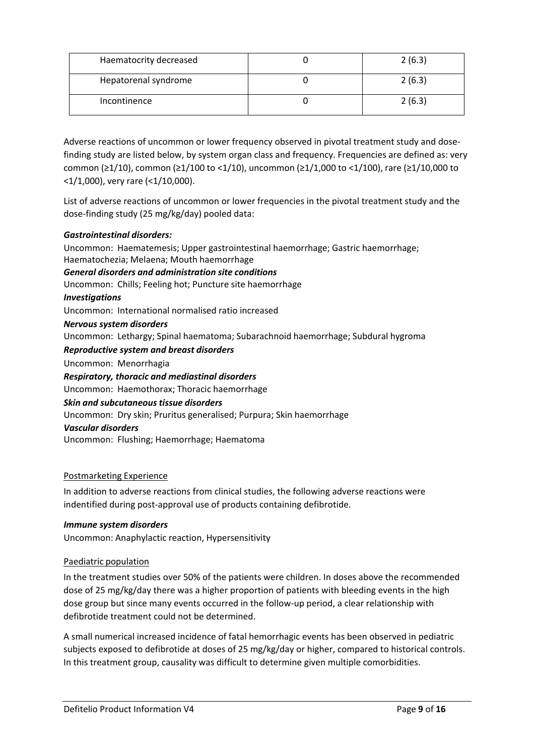| Haematocrity decreased | 2(6.3) |
|------------------------|--------|
| Hepatorenal syndrome   | 2(6.3) |
| Incontinence           | 2(6.3) |

Adverse reactions of uncommon or lower frequency observed in pivotal treatment study and dosefinding study are listed below, by system organ class and frequency. Frequencies are defined as: very common (≥1/10), common (≥1/100 to <1/10), uncommon (≥1/1,000 to <1/100), rare (≥1/10,000 to <1/1,000), very rare (<1/10,000).

List of adverse reactions of uncommon or lower frequencies in the pivotal treatment study and the dose-finding study (25 mg/kg/day) pooled data:

# *Gastrointestinal disorders:*

Uncommon: Haematemesis; Upper gastrointestinal haemorrhage; Gastric haemorrhage; Haematochezia; Melaena; Mouth haemorrhage *General disorders and administration site conditions* Uncommon: Chills; Feeling hot; Puncture site haemorrhage *Investigations* Uncommon: International normalised ratio increased *Nervous system disorders* Uncommon: Lethargy; Spinal haematoma; Subarachnoid haemorrhage; Subdural hygroma *Reproductive system and breast disorders* Uncommon: Menorrhagia *Respiratory, thoracic and mediastinal disorders* Uncommon: Haemothorax; Thoracic haemorrhage *Skin and subcutaneous tissue disorders* Uncommon: Dry skin; Pruritus generalised; Purpura; Skin haemorrhage *Vascular disorders* Uncommon: Flushing; Haemorrhage; Haematoma

# Postmarketing Experience

In addition to adverse reactions from clinical studies, the following adverse reactions were indentified during post-approval use of products containing defibrotide.

# *Immune system disorders*

Uncommon: Anaphylactic reaction, Hypersensitivity

# Paediatric population

In the treatment studies over 50% of the patients were children. In doses above the recommended dose of 25 mg/kg/day there was a higher proportion of patients with bleeding events in the high dose group but since many events occurred in the follow-up period, a clear relationship with defibrotide treatment could not be determined.

A small numerical increased incidence of fatal hemorrhagic events has been observed in pediatric subjects exposed to defibrotide at doses of 25 mg/kg/day or higher, compared to historical controls. In this treatment group, causality was difficult to determine given multiple comorbidities.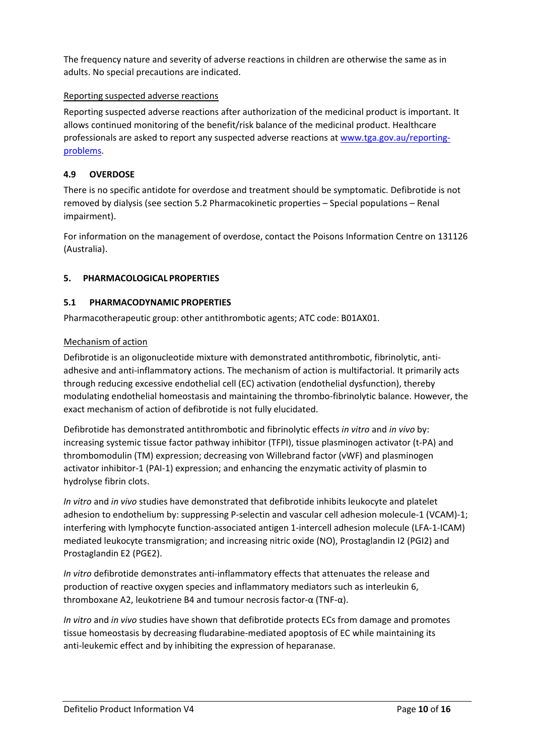The frequency nature and severity of adverse reactions in children are otherwise the same as in adults. No special precautions are indicated.

# Reporting suspected adverse reactions

Reporting suspected adverse reactions after authorization of the medicinal product is important. It allows continued monitoring of the benefit/risk balance of the medicinal product. Healthcare professionals are asked to report any suspected adverse reactions a[t www.tga.gov.au/reporting](http://www.tga.gov.au/reporting-problems)[problems.](http://www.tga.gov.au/reporting-problems)

# **4.9 OVERDOSE**

There is no specific antidote for overdose and treatment should be symptomatic. Defibrotide is not removed by dialysis (see section 5.2 Pharmacokinetic properties – Special populations – Renal impairment).

For information on the management of overdose, contact the Poisons Information Centre on 131126 (Australia).

# **5. PHARMACOLOGICAL PROPERTIES**

# **5.1 PHARMACODYNAMIC PROPERTIES**

Pharmacotherapeutic group: other antithrombotic agents; ATC code: B01AX01.

# Mechanism of action

Defibrotide is an oligonucleotide mixture with demonstrated antithrombotic, fibrinolytic, antiadhesive and anti-inflammatory actions. The mechanism of action is multifactorial. It primarily acts through reducing excessive endothelial cell (EC) activation (endothelial dysfunction), thereby modulating endothelial homeostasis and maintaining the thrombo-fibrinolytic balance. However, the exact mechanism of action of defibrotide is not fully elucidated.

Defibrotide has demonstrated antithrombotic and fibrinolytic effects *in vitro* and *in vivo* by: increasing systemic tissue factor pathway inhibitor (TFPI), tissue plasminogen activator (t-PA) and thrombomodulin (TM) expression; decreasing von Willebrand factor (vWF) and plasminogen activator inhibitor-1 (PAI-1) expression; and enhancing the enzymatic activity of plasmin to hydrolyse fibrin clots.

*In vitro* and *in vivo* studies have demonstrated that defibrotide inhibits leukocyte and platelet adhesion to endothelium by: suppressing P-selectin and vascular cell adhesion molecule-1 (VCAM)-1; interfering with lymphocyte function-associated antigen 1-intercell adhesion molecule (LFA-1-ICAM) mediated leukocyte transmigration; and increasing nitric oxide (NO), Prostaglandin I2 (PGI2) and Prostaglandin E2 (PGE2).

*In vitro* defibrotide demonstrates anti-inflammatory effects that attenuates the release and production of reactive oxygen species and inflammatory mediators such as interleukin 6, thromboxane A2, leukotriene B4 and tumour necrosis factor-α (TNF-α).

*In vitro* and *in vivo* studies have shown that defibrotide protects ECs from damage and promotes tissue homeostasis by decreasing fludarabine-mediated apoptosis of EC while maintaining its anti-leukemic effect and by inhibiting the expression of heparanase.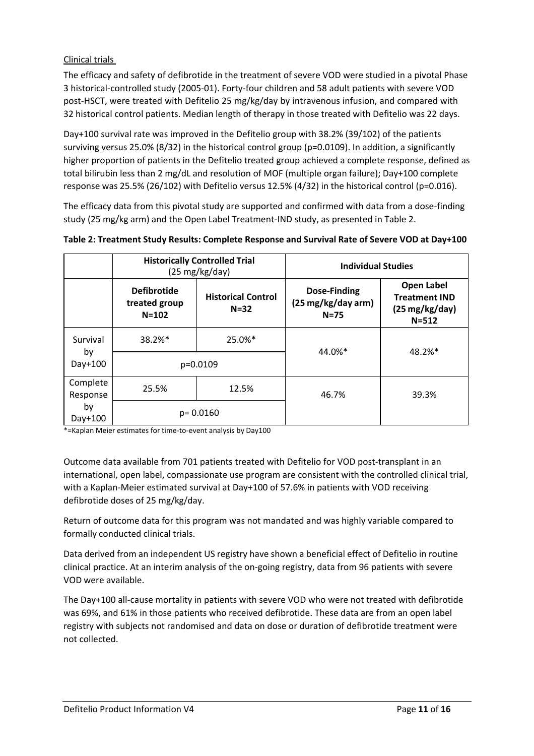# Clinical trials

The efficacy and safety of defibrotide in the treatment of severe VOD were studied in a pivotal Phase 3 historical-controlled study (2005-01). Forty-four children and 58 adult patients with severe VOD post-HSCT, were treated with Defitelio 25 mg/kg/day by intravenous infusion, and compared with 32 historical control patients. Median length of therapy in those treated with Defitelio was 22 days.

Day+100 survival rate was improved in the Defitelio group with 38.2% (39/102) of the patients surviving versus 25.0% (8/32) in the historical control group (p=0.0109). In addition, a significantly higher proportion of patients in the Defitelio treated group achieved a complete response, defined as total bilirubin less than 2 mg/dL and resolution of MOF (multiple organ failure); Day+100 complete response was 25.5% (26/102) with Defitelio versus 12.5% (4/32) in the historical control (p=0.016).

The efficacy data from this pivotal study are supported and confirmed with data from a dose-finding study (25 mg/kg arm) and the Open Label Treatment-IND study, as presented in Table 2.

|                      | <b>Historically Controlled Trial</b><br>$(25 \text{ mg/kg/day})$ |                                       |                                                | <b>Individual Studies</b>                                                           |  |
|----------------------|------------------------------------------------------------------|---------------------------------------|------------------------------------------------|-------------------------------------------------------------------------------------|--|
|                      | <b>Defibrotide</b><br>treated group<br>$N = 102$                 | <b>Historical Control</b><br>$N = 32$ | Dose-Finding<br>(25 mg/kg/day arm)<br>$N = 75$ | <b>Open Label</b><br><b>Treatment IND</b><br>$(25 \,\text{mg/kg/day})$<br>$N = 512$ |  |
| Survival             | 38.2%*                                                           | 25.0%*                                | 44.0%*                                         | 48.2%*                                                                              |  |
| by<br>Day+100        | p=0.0109                                                         |                                       |                                                |                                                                                     |  |
| Complete<br>Response | 25.5%                                                            | 12.5%                                 | 46.7%                                          | 39.3%                                                                               |  |
| by<br>Day+100        | $p = 0.0160$                                                     |                                       |                                                |                                                                                     |  |

**Table 2: Treatment Study Results: Complete Response and Survival Rate of Severe VOD at Day+100**

\*=Kaplan Meier estimates for time-to-event analysis by Day100

Outcome data available from 701 patients treated with Defitelio for VOD post-transplant in an international, open label, compassionate use program are consistent with the controlled clinical trial, with a Kaplan-Meier estimated survival at Day+100 of 57.6% in patients with VOD receiving defibrotide doses of 25 mg/kg/day.

Return of outcome data for this program was not mandated and was highly variable compared to formally conducted clinical trials.

Data derived from an independent US registry have shown a beneficial effect of Defitelio in routine clinical practice. At an interim analysis of the on-going registry, data from 96 patients with severe VOD were available.

The Day+100 all-cause mortality in patients with severe VOD who were not treated with defibrotide was 69%, and 61% in those patients who received defibrotide. These data are from an open label registry with subjects not randomised and data on dose or duration of defibrotide treatment were not collected.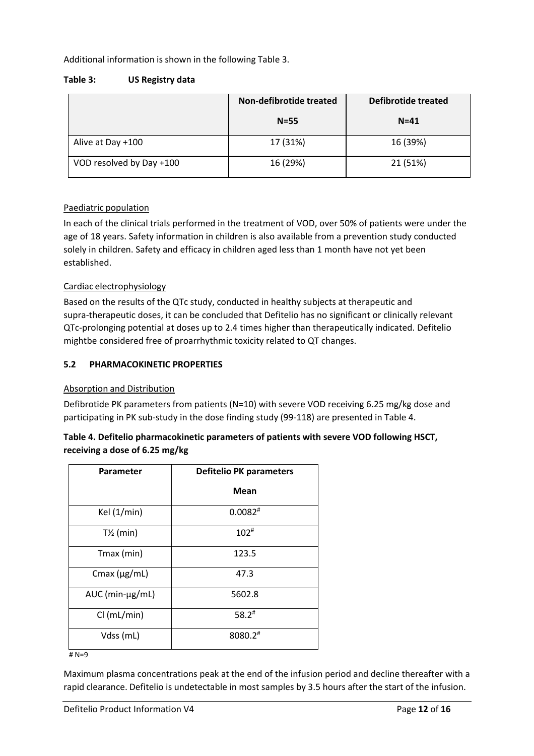Additional information is shown in the following Table 3.

## **Table 3: US Registry data**

|                          | Non-defibrotide treated | Defibrotide treated |
|--------------------------|-------------------------|---------------------|
|                          | $N=55$                  | $N = 41$            |
| Alive at Day +100        | 17 (31%)                | 16 (39%)            |
| VOD resolved by Day +100 | 16 (29%)                | 21 (51%)            |

# Paediatric population

In each of the clinical trials performed in the treatment of VOD, over 50% of patients were under the age of 18 years. Safety information in children is also available from a prevention study conducted solely in children. Safety and efficacy in children aged less than 1 month have not yet been established.

# Cardiac electrophysiology

Based on the results of the QTc study, conducted in healthy subjects at therapeutic and supra-therapeutic doses, it can be concluded that Defitelio has no significant or clinically relevant QTc-prolonging potential at doses up to 2.4 times higher than therapeutically indicated. Defitelio mightbe considered free of proarrhythmic toxicity related to QT changes.

# **5.2 PHARMACOKINETIC PROPERTIES**

#### Absorption and Distribution

Defibrotide PK parameters from patients (N=10) with severe VOD receiving 6.25 mg/kg dose and participating in PK sub-study in the dose finding study (99-118) are presented in Table 4.

# **Table 4. Defitelio pharmacokinetic parameters of patients with severe VOD following HSCT, receiving a dose of 6.25 mg/kg**

| <b>Parameter</b>        | <b>Defitelio PK parameters</b> |  |
|-------------------------|--------------------------------|--|
|                         | <b>Mean</b>                    |  |
| Kel (1/min)             | $0.0082$ <sup>#</sup>          |  |
| $T\frac{1}{2}$ (min)    | $102^{\#}$                     |  |
| Tmax (min)              | 123.5                          |  |
| Cmax $(\mu g/mL)$       | 47.3                           |  |
| $AUC$ (min- $\mu$ g/mL) | 5602.8                         |  |
| Cl (mL/min)             | $58.2$ <sup>#</sup>            |  |
| Vdss (mL)               | 8080.2#                        |  |

# N=9

Maximum plasma concentrations peak at the end of the infusion period and decline thereafter with a rapid clearance. Defitelio is undetectable in most samples by 3.5 hours after the start of the infusion.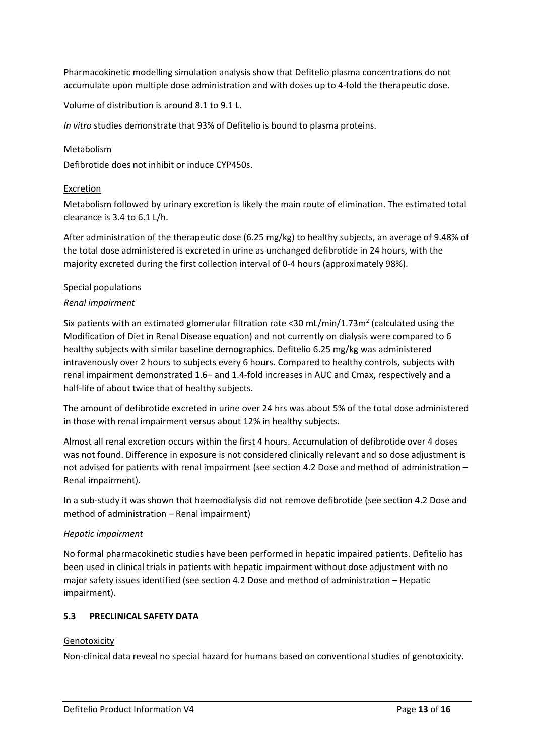Pharmacokinetic modelling simulation analysis show that Defitelio plasma concentrations do not accumulate upon multiple dose administration and with doses up to 4-fold the therapeutic dose.

Volume of distribution is around 8.1 to 9.1 L.

*In vitro* studies demonstrate that 93% of Defitelio is bound to plasma proteins.

## Metabolism

Defibrotide does not inhibit or induce CYP450s.

## Excretion

Metabolism followed by urinary excretion is likely the main route of elimination. The estimated total clearance is 3.4 to 6.1 L/h.

After administration of the therapeutic dose (6.25 mg/kg) to healthy subjects, an average of 9.48% of the total dose administered is excreted in urine as unchanged defibrotide in 24 hours, with the majority excreted during the first collection interval of 0-4 hours (approximately 98%).

#### Special populations

## *Renal impairment*

Six patients with an estimated glomerular filtration rate <30 mL/min/1.73m<sup>2</sup> (calculated using the Modification of Diet in Renal Disease equation) and not currently on dialysis were compared to 6 healthy subjects with similar baseline demographics. Defitelio 6.25 mg/kg was administered intravenously over 2 hours to subjects every 6 hours. Compared to healthy controls, subjects with renal impairment demonstrated 1.6– and 1.4-fold increases in AUC and Cmax, respectively and a half-life of about twice that of healthy subjects.

The amount of defibrotide excreted in urine over 24 hrs was about 5% of the total dose administered in those with renal impairment versus about 12% in healthy subjects.

Almost all renal excretion occurs within the first 4 hours. Accumulation of defibrotide over 4 doses was not found. Difference in exposure is not considered clinically relevant and so dose adjustment is not advised for patients with renal impairment (see section 4.2 Dose and method of administration – Renal impairment).

In a sub-study it was shown that haemodialysis did not remove defibrotide (see section 4.2 Dose and method of administration – Renal impairment)

#### *Hepatic impairment*

No formal pharmacokinetic studies have been performed in hepatic impaired patients. Defitelio has been used in clinical trials in patients with hepatic impairment without dose adjustment with no major safety issues identified (see section 4.2 Dose and method of administration – Hepatic impairment).

# **5.3 PRECLINICAL SAFETY DATA**

#### **Genotoxicity**

Non-clinical data reveal no special hazard for humans based on conventional studies of genotoxicity.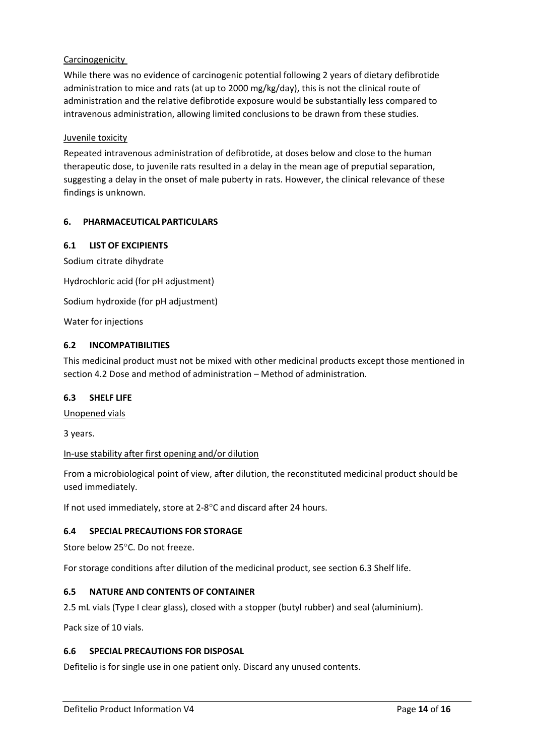# Carcinogenicity

While there was no evidence of carcinogenic potential following 2 years of dietary defibrotide administration to mice and rats (at up to 2000 mg/kg/day), this is not the clinical route of administration and the relative defibrotide exposure would be substantially less compared to intravenous administration, allowing limited conclusions to be drawn from these studies.

## Juvenile toxicity

Repeated intravenous administration of defibrotide, at doses below and close to the human therapeutic dose, to juvenile rats resulted in a delay in the mean age of preputial separation, suggesting a delay in the onset of male puberty in rats. However, the clinical relevance of these findings is unknown.

## **6. PHARMACEUTICAL PARTICULARS**

## **6.1 LIST OF EXCIPIENTS**

Sodium citrate dihydrate Hydrochloric acid (for pH adjustment)

Sodium hydroxide (for pH adjustment)

Water for injections

## **6.2 INCOMPATIBILITIES**

This medicinal product must not be mixed with other medicinal products except those mentioned in section 4.2 Dose and method of administration – Method of administration.

#### **6.3 SHELF LIFE**

Unopened vials

3 years.

#### In-use stability after first opening and/or dilution

From a microbiological point of view, after dilution, the reconstituted medicinal product should be used immediately.

If not used immediately, store at 2-8°C and discard after 24 hours.

# **6.4 SPECIAL PRECAUTIONS FOR STORAGE**

Store below 25°C. Do not freeze.

For storage conditions after dilution of the medicinal product, see section 6.3 Shelf life.

# **6.5 NATURE AND CONTENTS OF CONTAINER**

2.5 mL vials (Type I clear glass), closed with a stopper (butyl rubber) and seal (aluminium).

Pack size of 10 vials.

#### **6.6 SPECIAL PRECAUTIONS FOR DISPOSAL**

Defitelio is for single use in one patient only. Discard any unused contents.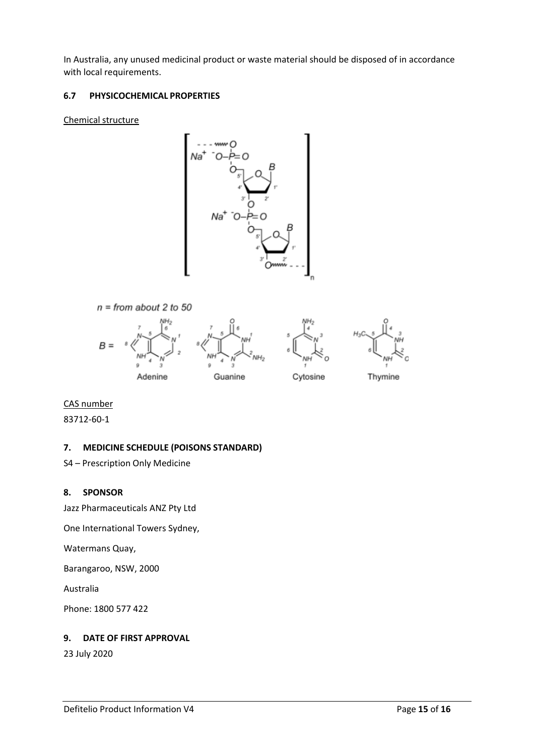In Australia, any unused medicinal product or waste material should be disposed of in accordance with local requirements.

# **6.7 PHYSICOCHEMICAL PROPERTIES**

## Chemical structure





CAS number

83712-60-1

# **7. MEDICINE SCHEDULE (POISONS STANDARD)**

S4 – Prescription Only Medicine

# **8. SPONSOR**

Jazz Pharmaceuticals ANZ Pty Ltd

One International Towers Sydney,

Watermans Quay,

Barangaroo, NSW, 2000

Australia

Phone: 1800 577 422

# **9. DATE OF FIRST APPROVAL**

23 July 2020